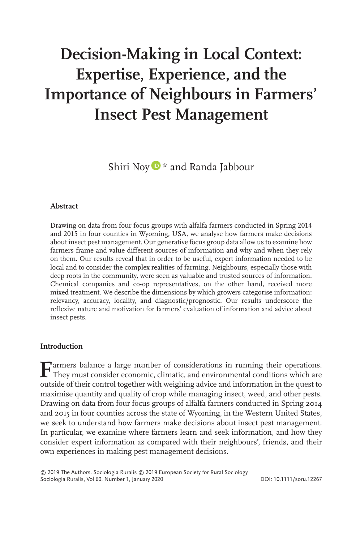# **Decision-Making in Local Context: Expertise, Experience, and the Importance of Neighbours in Farmers' Insect Pest Management**

Shiri No[y](https://orcid.org/0000-0002-0755-1652)  $\triangleright$  \* and Randa Jabbour

### **Abstract**

Drawing on data from four focus groups with alfalfa farmers conducted in Spring 2014 and 2015 in four counties in Wyoming, USA, we analyse how farmers make decisions about insect pest management. Our generative focus group data allow us to examine how farmers frame and value different sources of information and why and when they rely on them. Our results reveal that in order to be useful, expert information needed to be local and to consider the complex realities of farming. Neighbours, especially those with deep roots in the community, were seen as valuable and trusted sources of information. Chemical companies and co-op representatives, on the other hand, received more mixed treatment. We describe the dimensions by which growers categorise information: relevancy, accuracy, locality, and diagnostic/prognostic. Our results underscore the reflexive nature and motivation for farmers' evaluation of information and advice about insect pests.

# **Introduction**

**F**armers balance a large number of considerations in running their operations. They must consider economic, climatic, and environmental conditions which are outside of their control together with weighing advice and information in the quest to maximise quantity and quality of crop while managing insect, weed, and other pests. Drawing on data from four focus groups of alfalfa farmers conducted in Spring 2014 and 2015 in four counties across the state of Wyoming, in the Western United States, we seek to understand how farmers make decisions about insect pest management. In particular, we examine where farmers learn and seek information, and how they consider expert information as compared with their neighbours', friends, and their own experiences in making pest management decisions.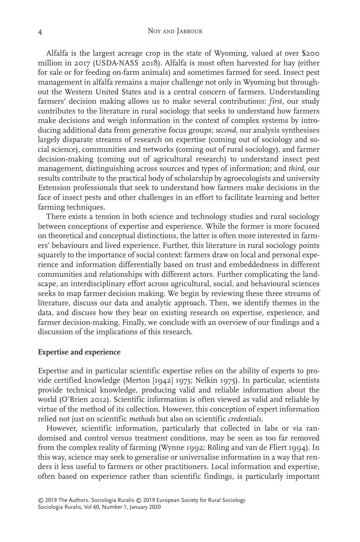Alfalfa is the largest acreage crop in the state of Wyoming, valued at over \$200 million in 2017 (USDA-NASS 2018). Alfalfa is most often harvested for hay (either for sale or for feeding on-farm animals) and sometimes farmed for seed. Insect pest management in alfalfa remains a major challenge not only in Wyoming but throughout the Western United States and is a central concern of farmers. Understanding farmers' decision making allows us to make several contributions: *first*, our study contributes to the literature in rural sociology that seeks to understand how farmers make decisions and weigh information in the context of complex systems by introducing additional data from generative focus groups; *second*, our analysis synthesises largely disparate streams of research on expertise (coming out of sociology and social science), communities and networks (coming out of rural sociology), and farmer decision-making (coming out of agricultural research) to understand insect pest management, distinguishing across sources and types of information; and *third*, our results contribute to the practical body of scholarship by agroecologists and university Extension professionals that seek to understand how farmers make decisions in the face of insect pests and other challenges in an effort to facilitate learning and better farming techniques.

There exists a tension in both science and technology studies and rural sociology between conceptions of expertise and experience. While the former is more focused on theoretical and conceptual distinctions, the latter is often more interested in farmers' behaviours and lived experience. Further, this literature in rural sociology points squarely to the importance of social context: farmers draw on local and personal experience and information differentially based on trust and embeddedness in different communities and relationships with different actors. Further complicating the landscape, an interdisciplinary effort across agricultural, social, and behavioural sciences seeks to map farmer decision making. We begin by reviewing these three streams of literature, discuss our data and analytic approach. Then, we identify themes in the data, and discuss how they bear on existing research on expertise, experience, and farmer decision-making. Finally, we conclude with an overview of our findings and a discussion of the implications of this research.

#### **Expertise and experience**

Expertise and in particular scientific expertise relies on the ability of experts to provide certified knowledge (Merton [1942] 1973; Nelkin 1975). In particular, scientists provide technical knowledge, producing valid and reliable information about the world (O'Brien 2012). Scientific information is often viewed as valid and reliable by virtue of the method of its collection. However, this conception of expert information relied not just on scientific *methods* but also on scientific *credentials.*

However, scientific information, particularly that collected in labs or via randomised and control versus treatment conditions, may be seen as too far removed from the complex reality of farming (Wynne 1992; Röling and van de Fliert 1994). In this way, science may seek to generalise or universalise information in a way that renders it less useful to farmers or other practitioners. Local information and expertise, often based on experience rather than scientific findings, is particularly important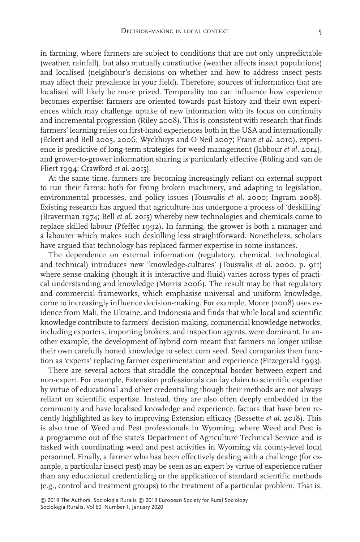in farming, where farmers are subject to conditions that are not only unpredictable (weather, rainfall), but also mutually constitutive (weather affects insect populations) and localised (neighbour's decisions on whether and how to address insect pests may affect their prevalence in your field). Therefore, sources of information that are localised will likely be more prized. Temporality too can influence how experience becomes expertise: farmers are oriented towards past history and their own experiences which may challenge uptake of new information with its focus on continuity and incremental progression (Riley 2008). This is consistent with research that finds farmers' learning relies on first-hand experiences both in the USA and internationally (Eckert and Bell 2005, 2006; Wyckhuys and O'Neil 2007; Franz *et al.* 2010), experience is predictive of long-term strategies for weed management (Jabbour *et al.* 2014), and grower-to-grower information sharing is particularly effective (Röling and van de Fliert 1994; Crawford *et al.* 2015).

At the same time, farmers are becoming increasingly reliant on external support to run their farms: both for fixing broken machinery, and adapting to legislation, environmental processes, and policy issues (Tousvalis *et al*. 2000; Ingram 2008). Existing research has argued that agriculture has undergone a process of 'deskilling' (Braverman 1974; Bell *et al.* 2015) whereby new technologies and chemicals come to replace skilled labour (Pfeffer 1992). In farming, the grower is both a manager and a labourer which makes such deskilling less straightforward. Nonetheless, scholars have argued that technology has replaced farmer expertise in some instances.

The dependence on external information (regulatory, chemical, technological, and technical) introduces new 'knowledge-cultures' (Tousvalis *et al*. 2000, p. 911) where sense-making (though it is interactive and fluid) varies across types of practical understanding and knowledge (Morris 2006). The result may be that regulatory and commercial frameworks, which emphasise universal and uniform knowledge, come to increasingly influence decision-making. For example, Moore (2008) uses evidence from Mali, the Ukraine, and Indonesia and finds that while local and scientific knowledge contribute to farmers' decision-making, commercial knowledge networks, including exporters, importing brokers, and inspection agents, were dominant. In another example, the development of hybrid corn meant that farmers no longer utilise their own carefully honed knowledge to select corn seed. Seed companies then function as 'experts' replacing farmer experimentation and experience (Fitzegerald 1993).

There are several actors that straddle the conceptual border between expert and non-expert. For example, Extension professionals can lay claim to scientific expertise by virtue of educational and other credentialing though their methods are not always reliant on scientific expertise. Instead, they are also often deeply embedded in the community and have localised knowledge and experience, factors that have been recently highlighted as key to improving Extension efficacy (Bessette *et al*. 2018). This is also true of Weed and Pest professionals in Wyoming, where Weed and Pest is a programme out of the state's Department of Agriculture Technical Service and is tasked with coordinating weed and pest activities in Wyoming via county-level local personnel. Finally, a farmer who has been effectively dealing with a challenge (for example, a particular insect pest) may be seen as an expert by virtue of experience rather than any educational credentialing or the application of standard scientific methods (e.g., control and treatment groups) to the treatment of a particular problem. That is,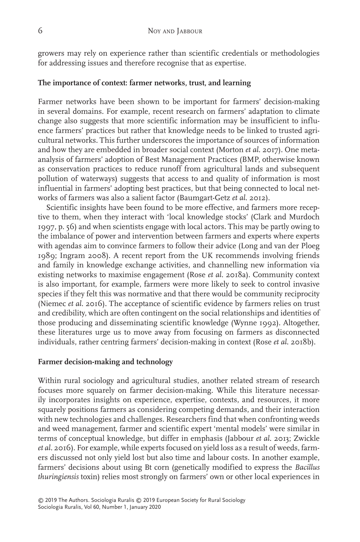growers may rely on experience rather than scientific credentials or methodologies for addressing issues and therefore recognise that as expertise.

# **The importance of context: farmer networks, trust, and learning**

Farmer networks have been shown to be important for farmers' decision-making in several domains. For example, recent research on farmers' adaptation to climate change also suggests that more scientific information may be insufficient to influence farmers' practices but rather that knowledge needs to be linked to trusted agricultural networks. This further underscores the importance of sources of information and how they are embedded in broader social context (Morton *et al*. 2017). One metaanalysis of farmers' adoption of Best Management Practices (BMP, otherwise known as conservation practices to reduce runoff from agricultural lands and subsequent pollution of waterways) suggests that access to and quality of information is most influential in farmers' adopting best practices, but that being connected to local networks of farmers was also a salient factor (Baumgart-Getz *et al*. 2012).

Scientific insights have been found to be more effective, and farmers more receptive to them, when they interact with 'local knowledge stocks' (Clark and Murdoch 1997, p. 56) and when scientists engage with local actors. This may be partly owing to the imbalance of power and intervention between farmers and experts where experts with agendas aim to convince farmers to follow their advice (Long and van der Ploeg 1989; Ingram 2008). A recent report from the UK recommends involving friends and family in knowledge exchange activities, and channelling new information via existing networks to maximise engagement (Rose *et al*. 2018a). Community context is also important, for example, farmers were more likely to seek to control invasive species if they felt this was normative and that there would be community reciprocity (Niemec *et al.* 2016). The acceptance of scientific evidence by farmers relies on trust and credibility, which are often contingent on the social relationships and identities of those producing and disseminating scientific knowledge (Wynne 1992). Altogether, these literatures urge us to move away from focusing on farmers as disconnected individuals, rather centring farmers' decision-making in context (Rose *et al*. 2018b).

#### **Farmer decision-making and technology**

Within rural sociology and agricultural studies, another related stream of research focuses more squarely on farmer decision-making. While this literature necessarily incorporates insights on experience, expertise, contexts, and resources, it more squarely positions farmers as considering competing demands, and their interaction with new technologies and challenges. Researchers find that when confronting weeds and weed management, farmer and scientific expert 'mental models' were similar in terms of conceptual knowledge, but differ in emphasis (Jabbour *et al.* 2013; Zwickle *et al.* 2016). For example, while experts focused on yield loss as a result of weeds, farmers discussed not only yield lost but also time and labour costs. In another example, farmers' decisions about using Bt corn (genetically modified to express the *Bacillus thuringiensis* toxin) relies most strongly on farmers' own or other local experiences in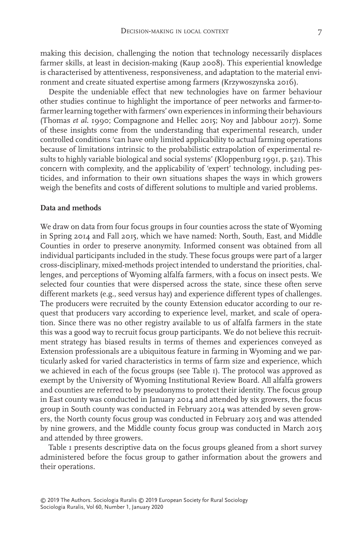making this decision, challenging the notion that technology necessarily displaces farmer skills, at least in decision-making (Kaup 2008). This experiential knowledge is characterised by attentiveness, responsiveness, and adaptation to the material environment and create situated expertise among farmers (Krzywoszynska 2016).

Despite the undeniable effect that new technologies have on farmer behaviour other studies continue to highlight the importance of peer networks and farmer-tofarmer learning together with farmers' own experiences in informing their behaviours (Thomas *et al*. 1990; Compagnone and Hellec 2015; Noy and Jabbour 2017). Some of these insights come from the understanding that experimental research, under controlled conditions 'can have only limited applicability to actual farming operations because of limitations intrinsic to the probabilistic extrapolation of experimental results to highly variable biological and social systems' (Kloppenburg 1991, p. 521). This concern with complexity, and the applicability of 'expert' technology, including pesticides, and information to their own situations shapes the ways in which growers weigh the benefits and costs of different solutions to multiple and varied problems.

### **Data and methods**

We draw on data from four focus groups in four counties across the state of Wyoming in Spring 2014 and Fall 2015, which we have named: North, South, East, and Middle Counties in order to preserve anonymity. Informed consent was obtained from all individual participants included in the study. These focus groups were part of a larger cross-disciplinary, mixed-methods project intended to understand the priorities, challenges, and perceptions of Wyoming alfalfa farmers, with a focus on insect pests. We selected four counties that were dispersed across the state, since these often serve different markets (e.g., seed versus hay) and experience different types of challenges. The producers were recruited by the county Extension educator according to our request that producers vary according to experience level, market, and scale of operation. Since there was no other registry available to us of alfalfa farmers in the state this was a good way to recruit focus group participants. We do not believe this recruitment strategy has biased results in terms of themes and experiences conveyed as Extension professionals are a ubiquitous feature in farming in Wyoming and we particularly asked for varied characteristics in terms of farm size and experience, which we achieved in each of the focus groups (see Table 1). The protocol was approved as exempt by the University of Wyoming Institutional Review Board. All alfalfa growers and counties are referred to by pseudonyms to protect their identity. The focus group in East county was conducted in January 2014 and attended by six growers, the focus group in South county was conducted in February 2014 was attended by seven growers, the North county focus group was conducted in February 2015 and was attended by nine growers, and the Middle county focus group was conducted in March 2015 and attended by three growers.

Table 1 presents descriptive data on the focus groups gleaned from a short survey administered before the focus group to gather information about the growers and their operations.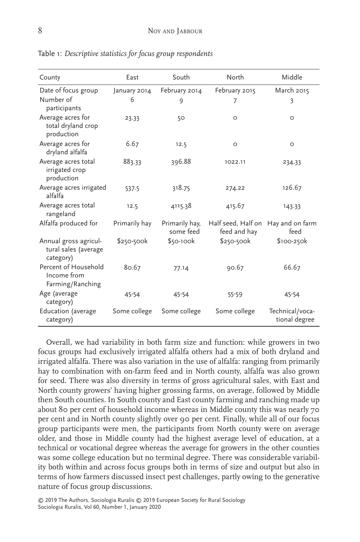| County                                                     | East          | South                       | North                                              | Middle                           |
|------------------------------------------------------------|---------------|-----------------------------|----------------------------------------------------|----------------------------------|
| Date of focus group                                        | January 2014  | February 2014               | February 2015                                      | March 2015                       |
| Number of<br>participants                                  | 6             | 9                           | 7                                                  | 3                                |
| Average acres for<br>total dryland crop<br>production      | 23.33         | 50                          | $\circ$                                            | $\circ$                          |
| Average acres for<br>dryland alfalfa                       | 6.67          | 12.5                        | $\circ$                                            | $\circ$                          |
| Average acres total<br>irrigated crop<br>production        | 883.33        | 396.88                      | 1022.11                                            | 234.33                           |
| Average acres irrigated<br>alfalfa                         | 537.5         | 318.75                      | 274.22                                             | 126.67                           |
| Average acres total<br>rangeland                           | 12.5          | 4115.38                     | 415.67                                             | 143.33                           |
| Alfalfa produced for                                       | Primarily hay | Primarily hay,<br>some feed | Half seed, Half on Hay and on farm<br>feed and hay | feed                             |
| Annual gross agricul-<br>tural sales (average<br>category) | $$250-500k$   | \$50-100k                   | \$250-500k                                         | \$100-250k                       |
| Percent of Household<br>Income from<br>Farming/Ranching    | 80.67         | 77.14                       | 90.67                                              | 66.67                            |
| Age (average<br>category)                                  | 45-54         | 45-54                       | 55-59                                              | 45-54                            |
| Education (average<br>category)                            | Some college  | Some college                | Some college                                       | Technical/voca-<br>tional degree |

Table 1: *Descriptive statistics for focus group respondents*

Overall, we had variability in both farm size and function: while growers in two focus groups had exclusively irrigated alfalfa others had a mix of both dryland and irrigated alfalfa. There was also variation in the use of alfalfa: ranging from primarily hay to combination with on-farm feed and in North county, alfalfa was also grown for seed. There was also diversity in terms of gross agricultural sales, with East and North county growers' having higher grossing farms, on average, followed by Middle then South counties. In South county and East county farming and ranching made up about 80 per cent of household income whereas in Middle county this was nearly 70 per cent and in North county slightly over 90 per cent. Finally, while all of our focus group participants were men, the participants from North county were on average older, and those in Middle county had the highest average level of education, at a technical or vocational degree whereas the average for growers in the other counties was some college education but no terminal degree. There was considerable variability both within and across focus groups both in terms of size and output but also in terms of how farmers discussed insect pest challenges, partly owing to the generative nature of focus group discussions.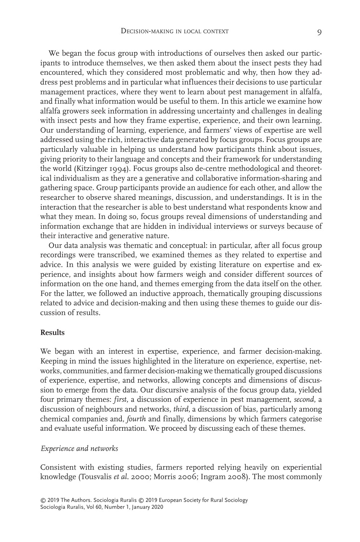We began the focus group with introductions of ourselves then asked our participants to introduce themselves, we then asked them about the insect pests they had encountered, which they considered most problematic and why, then how they address pest problems and in particular what influences their decisions to use particular management practices, where they went to learn about pest management in alfalfa, and finally what information would be useful to them. In this article we examine how alfalfa growers seek information in addressing uncertainty and challenges in dealing with insect pests and how they frame expertise, experience, and their own learning. Our understanding of learning, experience, and farmers' views of expertise are well addressed using the rich, interactive data generated by focus groups. Focus groups are particularly valuable in helping us understand how participants think about issues, giving priority to their language and concepts and their framework for understanding the world (Kitzinger 1994). Focus groups also de-centre methodological and theoretical individualism as they are a generative and collaborative information-sharing and gathering space. Group participants provide an audience for each other, and allow the researcher to observe shared meanings, discussion, and understandings. It is in the interaction that the researcher is able to best understand what respondents know and what they mean. In doing so, focus groups reveal dimensions of understanding and information exchange that are hidden in individual interviews or surveys because of their interactive and generative nature.

Our data analysis was thematic and conceptual: in particular, after all focus group recordings were transcribed, we examined themes as they related to expertise and advice. In this analysis we were guided by existing literature on expertise and experience, and insights about how farmers weigh and consider different sources of information on the one hand, and themes emerging from the data itself on the other. For the latter, we followed an inductive approach, thematically grouping discussions related to advice and decision-making and then using these themes to guide our discussion of results.

## **Results**

We began with an interest in expertise, experience, and farmer decision-making. Keeping in mind the issues highlighted in the literature on experience, expertise, networks, communities, and farmer decision-making we thematically grouped discussions of experience, expertise, and networks, allowing concepts and dimensions of discussion to emerge from the data. Our discursive analysis of the focus group data, yielded four primary themes: *first*, a discussion of experience in pest management, *second*, a discussion of neighbours and networks, *third*, a discussion of bias, particularly among chemical companies and, *fourth* and finally, dimensions by which farmers categorise and evaluate useful information. We proceed by discussing each of these themes.

#### *Experience and networks*

Consistent with existing studies, farmers reported relying heavily on experiential knowledge (Tousvalis *et al*. 2000; Morris 2006; Ingram 2008). The most commonly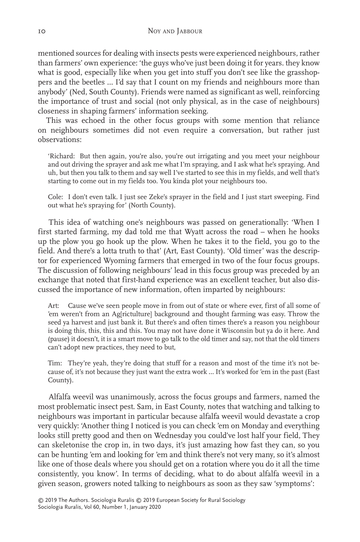mentioned sources for dealing with insects pests were experienced neighbours, rather than farmers' own experience: 'the guys who've just been doing it for years. they know what is good, especially like when you get into stuff you don't see like the grasshoppers and the beetles … I'd say that I count on my friends and neighbours more than anybody' (Ned, South County). Friends were named as significant as well, reinforcing the importance of trust and social (not only physical, as in the case of neighbours) closeness in shaping farmers' information seeking.

This was echoed in the other focus groups with some mention that reliance on neighbours sometimes did not even require a conversation, but rather just observations:

'Richard: But then again, you're also, you're out irrigating and you meet your neighbour and out driving the sprayer and ask me what I'm spraying, and I ask what he's spraying. And uh, but then you talk to them and say well I've started to see this in my fields, and well that's starting to come out in my fields too. You kinda plot your neighbours too.

Cole: I don't even talk. I just see Zeke's sprayer in the field and I just start sweeping. Find out what he's spraying for' (North County).

This idea of watching one's neighbours was passed on generationally: 'When I first started farming, my dad told me that Wyatt across the road – when he hooks up the plow you go hook up the plow. When he takes it to the field, you go to the field. And there's a lotta truth to that' (Art, East County). 'Old timer' was the descriptor for experienced Wyoming farmers that emerged in two of the four focus groups. The discussion of following neighbours' lead in this focus group was preceded by an exchange that noted that first-hand experience was an excellent teacher, but also discussed the importance of new information, often imparted by neighbours:

Art: Cause we've seen people move in from out of state or where ever, first of all some of 'em weren't from an Ag[rictulture] background and thought farming was easy. Throw the seed ya harvest and just bank it. But there's and often times there's a reason you neighbour is doing this, this, this and this. You may not have done it Wisconsin but ya do it here. And (pause) it doesn't, it is a smart move to go talk to the old timer and say, not that the old timers can't adopt new practices, they need to but,

Tim: They're yeah, they're doing that stuff for a reason and most of the time it's not because of, it's not because they just want the extra work … It's worked for 'em in the past (East County).

Alfalfa weevil was unanimously, across the focus groups and farmers, named the most problematic insect pest. Sam, in East County, notes that watching and talking to neighbours was important in particular because alfalfa weevil would devastate a crop very quickly: 'Another thing I noticed is you can check 'em on Monday and everything looks still pretty good and then on Wednesday you could've lost half your field, They can skeletonise the crop in, in two days, it's just amazing how fast they can, so you can be hunting 'em and looking for 'em and think there's not very many, so it's almost like one of those deals where you should get on a rotation where you do it all the time consistently, you know'. In terms of deciding, what to do about alfalfa weevil in a given season, growers noted talking to neighbours as soon as they saw 'symptoms':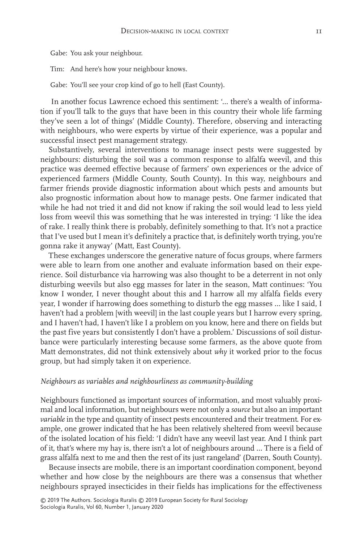Gabe: You ask your neighbour.

Tim: And here's how your neighbour knows.

Gabe: You'll see your crop kind of go to hell (East County).

In another focus Lawrence echoed this sentiment: '… there's a wealth of information if you'll talk to the guys that have been in this country their whole life farming they've seen a lot of things' (Middle County). Therefore, observing and interacting with neighbours, who were experts by virtue of their experience, was a popular and successful insect pest management strategy.

Substantively, several interventions to manage insect pests were suggested by neighbours: disturbing the soil was a common response to alfalfa weevil, and this practice was deemed effective because of farmers' own experiences or the advice of experienced farmers (Middle County, South County). In this way, neighbours and farmer friends provide diagnostic information about which pests and amounts but also prognostic information about how to manage pests. One farmer indicated that while he had not tried it and did not know if raking the soil would lead to less yield loss from weevil this was something that he was interested in trying: 'I like the idea of rake. I really think there is probably, definitely something to that. It's not a practice that I've used but I mean it's definitely a practice that, is definitely worth trying, you're gonna rake it anyway' (Matt, East County).

These exchanges underscore the generative nature of focus groups, where farmers were able to learn from one another and evaluate information based on their experience. Soil disturbance via harrowing was also thought to be a deterrent in not only disturbing weevils but also egg masses for later in the season, Matt continues: 'You know I wonder, I never thought about this and I harrow all my alfalfa fields every year, I wonder if harrowing does something to disturb the egg masses … like I said, I haven't had a problem [with weevil] in the last couple years but I harrow every spring, and I haven't had, I haven't like I a problem on you know, here and there on fields but the past five years but consistently I don't have a problem.' Discussions of soil disturbance were particularly interesting because some farmers, as the above quote from Matt demonstrates, did not think extensively about *why* it worked prior to the focus group, but had simply taken it on experience.

#### *Neighbours as variables and neighbourliness as community-building*

Neighbours functioned as important sources of information, and most valuably proximal and local information, but neighbours were not only a *source* but also an important *variable* in the type and quantity of insect pests encountered and their treatment. For example, one grower indicated that he has been relatively sheltered from weevil because of the isolated location of his field: 'I didn't have any weevil last year. And I think part of it, that's where my hay is, there isn't a lot of neighbours around … There is a field of grass alfalfa next to me and then the rest of its just rangeland' (Darren, South County).

Because insects are mobile, there is an important coordination component, beyond whether and how close by the neighbours are there was a consensus that whether neighbours sprayed insecticides in their fields has implications for the effectiveness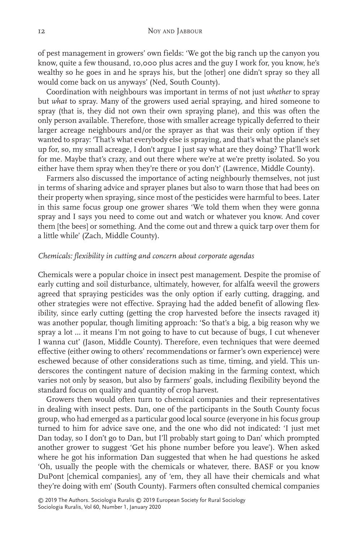of pest management in growers' own fields: 'We got the big ranch up the canyon you know, quite a few thousand, 10,000 plus acres and the guy I work for, you know, he's wealthy so he goes in and he sprays his, but the [other] one didn't spray so they all would come back on us anyways' (Ned, South County).

Coordination with neighbours was important in terms of not just *whether* to spray but *what* to spray. Many of the growers used aerial spraying, and hired someone to spray (that is, they did not own their own spraying plane), and this was often the only person available. Therefore, those with smaller acreage typically deferred to their larger acreage neighbours and/or the sprayer as that was their only option if they wanted to spray: 'That's what everybody else is spraying, and that's what the plane's set up for, so, my small acreage, I don't argue I just say what are they doing? That'll work for me. Maybe that's crazy, and out there where we're at we're pretty isolated. So you either have them spray when they're there or you don't' (Lawrence, Middle County).

Farmers also discussed the importance of acting neighbourly themselves, not just in terms of sharing advice and sprayer planes but also to warn those that had bees on their property when spraying, since most of the pesticides were harmful to bees. Later in this same focus group one grower shares 'We told them when they were gonna spray and I says you need to come out and watch or whatever you know. And cover them [the bees] or something. And the come out and threw a quick tarp over them for a little while' (Zach, Middle County).

# *Chemicals: flexibility in cutting and concern about corporate agendas*

Chemicals were a popular choice in insect pest management. Despite the promise of early cutting and soil disturbance, ultimately, however, for alfalfa weevil the growers agreed that spraying pesticides was the only option if early cutting, dragging, and other strategies were not effective. Spraying had the added benefit of allowing flexibility, since early cutting (getting the crop harvested before the insects ravaged it) was another popular, though limiting approach: 'So that's a big, a big reason why we spray a lot … it means I'm not going to have to cut because of bugs, I cut whenever I wanna cut' (Jason, Middle County). Therefore, even techniques that were deemed effective (either owing to others' recommendations or farmer's own experience) were eschewed because of other considerations such as time, timing, and yield. This underscores the contingent nature of decision making in the farming context, which varies not only by season, but also by farmers' goals, including flexibility beyond the standard focus on quality and quantity of crop harvest.

Growers then would often turn to chemical companies and their representatives in dealing with insect pests. Dan, one of the participants in the South County focus group, who had emerged as a particular good local source (everyone in his focus group turned to him for advice save one, and the one who did not indicated: 'I just met Dan today, so I don't go to Dan, but I'll probably start going to Dan' which prompted another grower to suggest 'Get his phone number before you leave'). When asked where he got his information Dan suggested that when he had questions he asked 'Oh, usually the people with the chemicals or whatever, there. BASF or you know DuPont [chemical companies], any of 'em, they all have their chemicals and what they're doing with em' (South County). Farmers often consulted chemical companies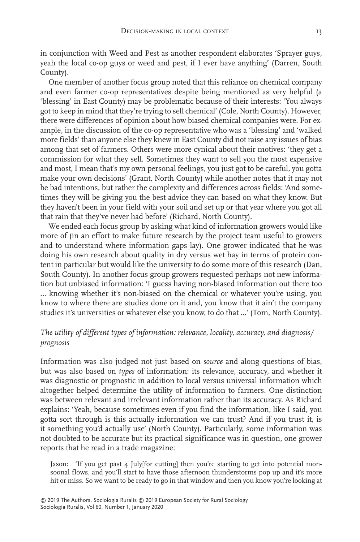in conjunction with Weed and Pest as another respondent elaborates 'Sprayer guys, yeah the local co-op guys or weed and pest, if I ever have anything' (Darren, South County).

One member of another focus group noted that this reliance on chemical company and even farmer co-op representatives despite being mentioned as very helpful (a 'blessing' in East County) may be problematic because of their interests: 'You always got to keep in mind that they're trying to sell chemical' (Cole, North County). However, there were differences of opinion about how biased chemical companies were. For example, in the discussion of the co-op representative who was a 'blessing' and 'walked more fields' than anyone else they knew in East County did not raise any issues of bias among that set of farmers. Others were more cynical about their motives: 'they get a commission for what they sell. Sometimes they want to sell you the most expensive and most, I mean that's my own personal feelings, you just got to be careful, you gotta make your own decisions' (Grant, North County) while another notes that it may not be bad intentions, but rather the complexity and differences across fields: 'And sometimes they will be giving you the best advice they can based on what they know. But they haven't been in your field with your soil and set up or that year where you got all that rain that they've never had before' (Richard, North County).

We ended each focus group by asking what kind of information growers would like more of (in an effort to make future research by the project team useful to growers and to understand where information gaps lay). One grower indicated that he was doing his own research about quality in dry versus wet hay in terms of protein content in particular but would like the university to do some more of this research (Dan, South County). In another focus group growers requested perhaps not new information but unbiased information: 'I guess having non-biased information out there too … knowing whether it's non-biased on the chemical or whatever you're using, you know to where there are studies done on it and, you know that it ain't the company studies it's universities or whatever else you know, to do that …' (Tom, North County).

# *The utility of different types of information: relevance, locality, accuracy, and diagnosis/ prognosis*

Information was also judged not just based on *source* and along questions of bias, but was also based on *types* of information: its relevance, accuracy, and whether it was diagnostic or prognostic in addition to local versus universal information which altogether helped determine the utility of information to farmers. One distinction was between relevant and irrelevant information rather than its accuracy. As Richard explains: 'Yeah, because sometimes even if you find the information, like I said, you gotta sort through is this actually information we can trust? And if you trust it, is it something you'd actually use' (North County). Particularly, some information was not doubted to be accurate but its practical significance was in question, one grower reports that he read in a trade magazine:

Jason: 'If you get past 4 July[for cutting] then you're starting to get into potential monsoonal flows, and you'll start to have those afternoon thunderstorms pop up and it's more hit or miss. So we want to be ready to go in that window and then you know you're looking at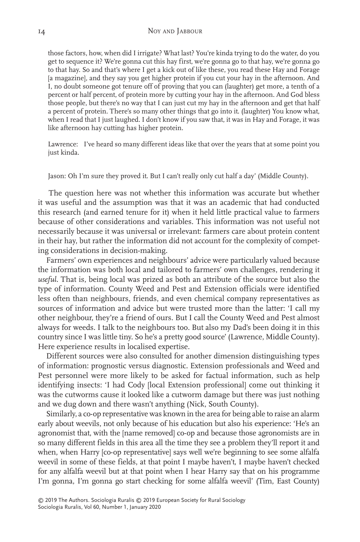those factors, how, when did I irrigate? What last? You're kinda trying to do the water, do you get to sequence it? We're gonna cut this hay first, we're gonna go to that hay, we're gonna go to that hay. So and that's where I get a kick out of like these, you read these Hay and Forage [a magazine], and they say you get higher protein if you cut your hay in the afternoon. And I, no doubt someone got tenure off of proving that you can (laughter) get more, a tenth of a percent or half percent, of protein more by cutting your hay in the afternoon. And God bless those people, but there's no way that I can just cut my hay in the afternoon and get that half a percent of protein. There's so many other things that go into it. (laughter) You know what, when I read that I just laughed. I don't know if you saw that, it was in Hay and Forage, it was like afternoon hay cutting has higher protein.

Lawrence: I've heard so many different ideas like that over the years that at some point you just kinda.

Jason: Oh I'm sure they proved it. But I can't really only cut half a day' (Middle County).

The question here was not whether this information was accurate but whether it was useful and the assumption was that it was an academic that had conducted this research (and earned tenure for it) when it held little practical value to farmers because of other considerations and variables. This information was not useful not necessarily because it was universal or irrelevant: farmers care about protein content in their hay, but rather the information did not account for the complexity of competing considerations in decision-making.

Farmers' own experiences and neighbours' advice were particularly valued because the information was both local and tailored to farmers' own challenges, rendering it *useful*. That is, being local was prized as both an attribute of the source but also the type of information. County Weed and Pest and Extension officials were identified less often than neighbours, friends, and even chemical company representatives as sources of information and advice but were trusted more than the latter: 'I call my other neighbour, they're a friend of ours. But I call the County Weed and Pest almost always for weeds. I talk to the neighbours too. But also my Dad's been doing it in this country since I was little tiny. So he's a pretty good source' (Lawrence, Middle County). Here experience results in localised expertise.

Different sources were also consulted for another dimension distinguishing types of information: prognostic versus diagnostic. Extension professionals and Weed and Pest personnel were more likely to be asked for factual information, such as help identifying insects: 'I had Cody [local Extension professional] come out thinking it was the cutworms cause it looked like a cutworm damage but there was just nothing and we dug down and there wasn't anything (Nick, South County).

Similarly, a co-op representative was known in the area for being able to raise an alarm early about weevils, not only because of his education but also his experience: 'He's an agronomist that, with the [name removed] co-op and because those agronomists are in so many different fields in this area all the time they see a problem they'll report it and when, when Harry [co-op representative] says well we're beginning to see some alfalfa weevil in some of these fields, at that point I maybe haven't, I maybe haven't checked for any alfalfa weevil but at that point when I hear Harry say that on his programme I'm gonna, I'm gonna go start checking for some alfalfa weevil' (Tim, East County)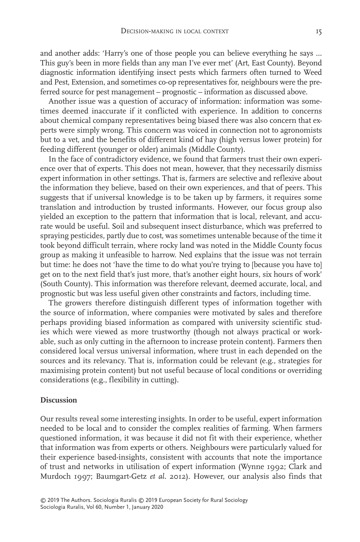and another adds: 'Harry's one of those people you can believe everything he says … This guy's been in more fields than any man I've ever met' (Art, East County). Beyond diagnostic information identifying insect pests which farmers often turned to Weed and Pest, Extension, and sometimes co-op representatives for, neighbours were the preferred source for pest management – prognostic – information as discussed above.

Another issue was a question of accuracy of information: information was sometimes deemed inaccurate if it conflicted with experience. In addition to concerns about chemical company representatives being biased there was also concern that experts were simply wrong. This concern was voiced in connection not to agronomists but to a vet, and the benefits of different kind of hay (high versus lower protein) for feeding different (younger or older) animals (Middle County).

In the face of contradictory evidence, we found that farmers trust their own experience over that of experts. This does not mean, however, that they necessarily dismiss expert information in other settings. That is, farmers are selective and reflexive about the information they believe, based on their own experiences, and that of peers. This suggests that if universal knowledge is to be taken up by farmers, it requires some translation and introduction by trusted informants. However, our focus group also yielded an exception to the pattern that information that is local, relevant, and accurate would be useful. Soil and subsequent insect disturbance, which was preferred to spraying pesticides, partly due to cost, was sometimes untenable because of the time it took beyond difficult terrain, where rocky land was noted in the Middle County focus group as making it unfeasible to harrow. Ned explains that the issue was not terrain but time: he does not 'have the time to do what you're trying to [because you have to] get on to the next field that's just more, that's another eight hours, six hours of work' (South County). This information was therefore relevant, deemed accurate, local, and prognostic but was less useful given other constraints and factors, including time.

The growers therefore distinguish different types of information together with the source of information, where companies were motivated by sales and therefore perhaps providing biased information as compared with university scientific studies which were viewed as more trustworthy (though not always practical or workable, such as only cutting in the afternoon to increase protein content). Farmers then considered local versus universal information, where trust in each depended on the sources and its relevancy. That is, information could be relevant (e.g., strategies for maximising protein content) but not useful because of local conditions or overriding considerations (e.g., flexibility in cutting).

## **Discussion**

Our results reveal some interesting insights. In order to be useful, expert information needed to be local and to consider the complex realities of farming. When farmers questioned information, it was because it did not fit with their experience, whether that information was from experts or others. Neighbours were particularly valued for their experience based-insights, consistent with accounts that note the importance of trust and networks in utilisation of expert information (Wynne 1992; Clark and Murdoch 1997; Baumgart-Getz *et al*. 2012). However, our analysis also finds that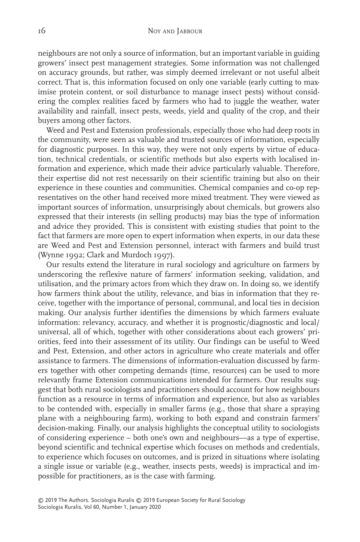neighbours are not only a source of information, but an important variable in guiding growers' insect pest management strategies. Some information was not challenged on accuracy grounds, but rather, was simply deemed irrelevant or not useful albeit correct. That is, this information focused on only one variable (early cutting to maximise protein content, or soil disturbance to manage insect pests) without considering the complex realities faced by farmers who had to juggle the weather, water availability and rainfall, insect pests, weeds, yield and quality of the crop, and their buyers among other factors.

Weed and Pest and Extension professionals, especially those who had deep roots in the community, were seen as valuable and trusted sources of information, especially for diagnostic purposes. In this way, they were not only experts by virtue of education, technical credentials, or scientific methods but also experts with localised information and experience, which made their advice particularly valuable. Therefore, their expertise did not rest necessarily on their scientific training but also on their experience in these counties and communities. Chemical companies and co-op representatives on the other hand received more mixed treatment. They were viewed as important sources of information, unsurprisingly about chemicals, but growers also expressed that their interests (in selling products) may bias the type of information and advice they provided. This is consistent with existing studies that point to the fact that farmers are more open to expert information when experts, in our data these are Weed and Pest and Extension personnel, interact with farmers and build trust (Wynne 1992; Clark and Murdoch 1997).

Our results extend the literature in rural sociology and agriculture on farmers by underscoring the reflexive nature of farmers' information seeking, validation, and utilisation, and the primary actors from which they draw on. In doing so, we identify how farmers think about the utility, relevance, and bias in information that they receive, together with the importance of personal, communal, and local ties in decision making. Our analysis further identifies the dimensions by which farmers evaluate information: relevancy, accuracy, and whether it is prognostic/diagnostic and local/ universal, all of which, together with other considerations about each growers' priorities, feed into their assessment of its utility. Our findings can be useful to Weed and Pest, Extension, and other actors in agriculture who create materials and offer assistance to farmers. The dimensions of information-evaluation discussed by farmers together with other competing demands (time, resources) can be used to more relevantly frame Extension communications intended for farmers. Our results suggest that both rural sociologists and practitioners should account for how neighbours function as a resource in terms of information and experience, but also as variables to be contended with, especially in smaller farms (e.g., those that share a spraying plane with a neighbouring farm), working to both expand and constrain farmers' decision-making. Finally, our analysis highlights the conceptual utility to sociologists of considering experience – both one's own and neighbours—as a type of expertise, beyond scientific and technical expertise which focuses on methods and credentials, to experience which focuses on outcomes, and is prized in situations where isolating a single issue or variable (e.g., weather, insects pests, weeds) is impractical and impossible for practitioners, as is the case with farming.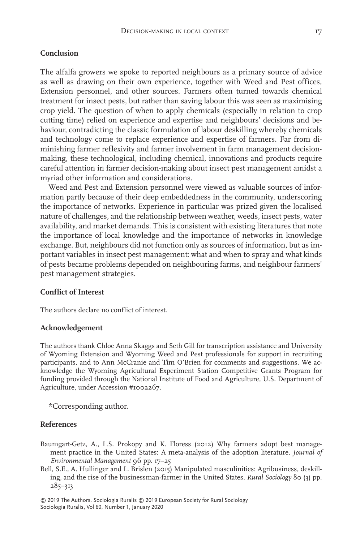#### **Conclusion**

The alfalfa growers we spoke to reported neighbours as a primary source of advice as well as drawing on their own experience, together with Weed and Pest offices, Extension personnel, and other sources. Farmers often turned towards chemical treatment for insect pests, but rather than saving labour this was seen as maximising crop yield. The question of when to apply chemicals (especially in relation to crop cutting time) relied on experience and expertise and neighbours' decisions and behaviour, contradicting the classic formulation of labour deskilling whereby chemicals and technology come to replace experience and expertise of farmers. Far from diminishing farmer reflexivity and farmer involvement in farm management decisionmaking, these technological, including chemical, innovations and products require careful attention in farmer decision-making about insect pest management amidst a myriad other information and considerations.

Weed and Pest and Extension personnel were viewed as valuable sources of information partly because of their deep embeddedness in the community, underscoring the importance of networks. Experience in particular was prized given the localised nature of challenges, and the relationship between weather, weeds, insect pests, water availability, and market demands. This is consistent with existing literatures that note the importance of local knowledge and the importance of networks in knowledge exchange. But, neighbours did not function only as sources of information, but as important variables in insect pest management: what and when to spray and what kinds of pests became problems depended on neighbouring farms, and neighbour farmers' pest management strategies.

## **Conflict of Interest**

The authors declare no conflict of interest.

# **Acknowledgement**

The authors thank Chloe Anna Skaggs and Seth Gill for transcription assistance and University of Wyoming Extension and Wyoming Weed and Pest professionals for support in recruiting participants, and to Ann McCranie and Tim O'Brien for comments and suggestions. We acknowledge the Wyoming Agricultural Experiment Station Competitive Grants Program for funding provided through the National Institute of Food and Agriculture, U.S. Department of Agriculture, under Accession #1002267.

\*Corresponding author.

#### **References**

- Baumgart-Getz, A., L.S. Prokopy and K. Floress (2012) Why farmers adopt best management practice in the United States: A meta-analysis of the adoption literature. *Journal of Environmental Management* 96 pp. 17–25
- Bell, S.E., A. Hullinger and L. Brislen (2015) Manipulated masculinities: Agribusiness, deskilling, and the rise of the businessman-farmer in the United States. *Rural Sociology* 80 (3) pp. 285–313

Sociologia Ruralis, Vol 60, Number 1, January 2020 © 2019 The Authors. Sociologia Ruralis © 2019 European Society for Rural Sociology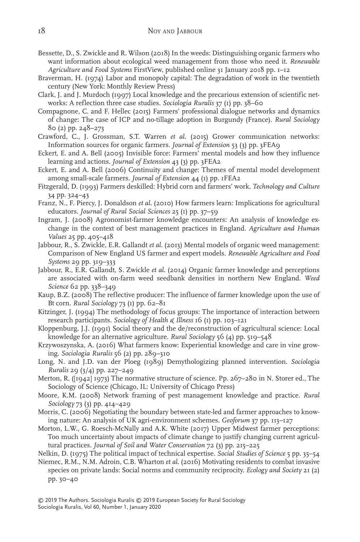- Bessette, D., S. Zwickle and R. Wilson (2018) In the weeds: Distinguishing organic farmers who want information about ecological weed management from those who need it. *Renewable Agriculture and Food Systems* FirstView, published online 31 January 2018 pp. 1–12
- Braverman, H. (1974) Labor and monopoly capital: The degradation of work in the twentieth century (New York: Monthly Review Press)
- Clark, J. and J. Murdoch (1997) Local knowledge and the precarious extension of scientific networks: A reflection three case studies. *Sociologia Ruralis* 37 (1) pp. 38–60
- Compagnone, C. and F. Hellec (2015) Farmers' professional dialogue networks and dynamics of change: The case of ICP and no-tillage adoption in Burgundy (France). *Rural Sociology* 80 (2) pp. 248–273
- Crawford, C., J. Grossman, S.T. Warren *et al*. (2015) Grower communication networks: Information sources for organic farmers. *Journal of Extension* 53 (3) pp. 3FEA9
- Eckert, E. and A. Bell (2005) Invisible force: Farmers' mental models and how they influence learning and actions. *Journal of Extension* 43 (3) pp. 3FEA2
- Eckert, E. and A. Bell (2006) Continuity and change: Themes of mental model development among small-scale farmers. *Journal of Extension* 44 (1) pp. 1FEA2
- Fitzgerald, D. (1993) Farmers deskilled: Hybrid corn and farmers' work. *Technology and Culture* 34 pp. 324–43
- Franz, N., F. Piercy, J. Donaldson *et al*. (2010) How farmers learn: Implications for agricultural educators. *Journal of Rural Social Sciences* 25 (1) pp. 37–59
- Ingram, J. (2008) Agronomist-farmer knowledge encounters: An analysis of knowledge exchange in the context of best management practices in England. *Agriculture and Human Values* 25 pp. 405–418
- Jabbour, R., S. Zwickle, E.R. Gallandt *et al*. (2013) Mental models of organic weed management: Comparison of New England US farmer and expert models. *Renewable Agriculture and Food Systems* 29 pp. 319–333
- Jabbour, R., E.R. Gallandt, S. Zwickle *et al*. (2014) Organic farmer knowledge and perceptions are associated with on-farm weed seedbank densities in northern New England. *Weed Science* 62 pp. 338–349
- Kaup, B.Z. (2008) The reflective producer: The influence of farmer knowledge upon the use of Bt corn. *Rural Sociology* 73 (1) pp. 62–81
- Kitzinger, J. (1994) The methodology of focus groups: The importance of interaction between research participants. *Sociology of Health & Illness* 16 (1) pp. 103–121
- Kloppenburg, J.J. (1991) Social theory and the de/reconstruction of agricultural science: Local knowledge for an alternative agriculture. *Rural Sociology* 56 (4) pp. 519–548
- Krzywoszynska, A. (2016) What farmers know: Experiential knowledge and care in vine growing. *Sociologia Ruralis* 56 (2) pp. 289–310
- Long, N. and J.D. van der Ploeg (1989) Demythologizing planned intervention. *Sociologia Ruralis* 29 (3/4) pp. 227–249
- Merton, R. ([1942] 1973) The normative structure of science. Pp. 267–280 in N. Storer ed., The Sociology of Science (Chicago, IL: University of Chicago Press)
- Moore, K.M. (2008) Network framing of pest management knowledge and practice. *Rural Sociology* 73 (3) pp. 414–429
- Morris, C. (2006) Negotiating the boundary between state-led and farmer approaches to knowing nature: An analysis of UK agri-environment schemes. *Geoforum* 37 pp. 113–127
- Morton, L.W., G. Roesch-McNally and A.K. White (2017) Upper Midwest farmer perceptions: Too much uncertainty about impacts of climate change to justify changing current agricultural practices. *Journal of Soil and Water Conservation* 72 (3) pp. 215–225
- Nelkin, D. (1975) The political impact of technical expertise. *Social Studies of Science* 5 pp. 35–54
- Niemec, R.M., N.M. Adroin, C.B. Wharton *et al*. (2016) Motivating residents to combat invasive species on private lands: Social norms and community reciprocity. *Ecology and Society* 21 (2) pp. 30–40